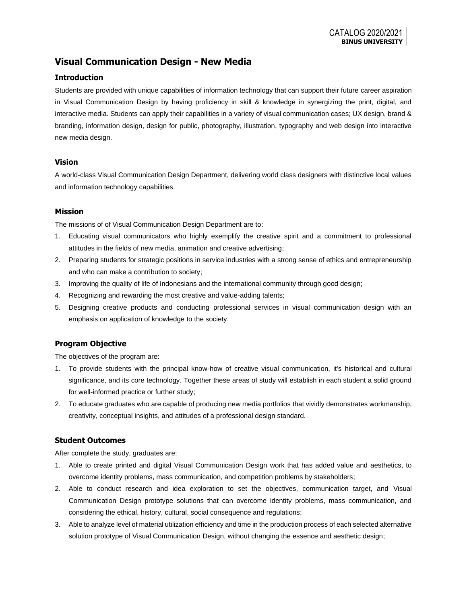# **Visual Communication Design - New Media**

### **Introduction**

Students are provided with unique capabilities of information technology that can support their future career aspiration in Visual Communication Design by having proficiency in skill & knowledge in synergizing the print, digital, and interactive media. Students can apply their capabilities in a variety of visual communication cases; UX design, brand & branding, information design, design for public, photography, illustration, typography and web design into interactive new media design.

#### **Vision**

A world-class Visual Communication Design Department, delivering world class designers with distinctive local values and information technology capabilities.

### **Mission**

The missions of of Visual Communication Design Department are to:

- 1. Educating visual communicators who highly exemplify the creative spirit and a commitment to professional attitudes in the fields of new media, animation and creative advertising;
- 2. Preparing students for strategic positions in service industries with a strong sense of ethics and entrepreneurship and who can make a contribution to society;
- 3. Improving the quality of life of Indonesians and the international community through good design;
- 4. Recognizing and rewarding the most creative and value-adding talents;
- 5. Designing creative products and conducting professional services in visual communication design with an emphasis on application of knowledge to the society.

## **Program Objective**

The objectives of the program are:

- 1. To provide students with the principal know-how of creative visual communication, it's historical and cultural significance, and its core technology. Together these areas of study will establish in each student a solid ground for well-informed practice or further study;
- 2. To educate graduates who are capable of producing new media portfolios that vividly demonstrates workmanship, creativity, conceptual insights, and attitudes of a professional design standard.

### **Student Outcomes**

After complete the study, graduates are:

- 1. Able to create printed and digital Visual Communication Design work that has added value and aesthetics, to overcome identity problems, mass communication, and competition problems by stakeholders;
- 2. Able to conduct research and idea exploration to set the objectives, communication target, and Visual Communication Design prototype solutions that can overcome identity problems, mass communication, and considering the ethical, history, cultural, social consequence and regulations;
- 3. Able to analyze level of material utilization efficiency and time in the production process of each selected alternative solution prototype of Visual Communication Design, without changing the essence and aesthetic design;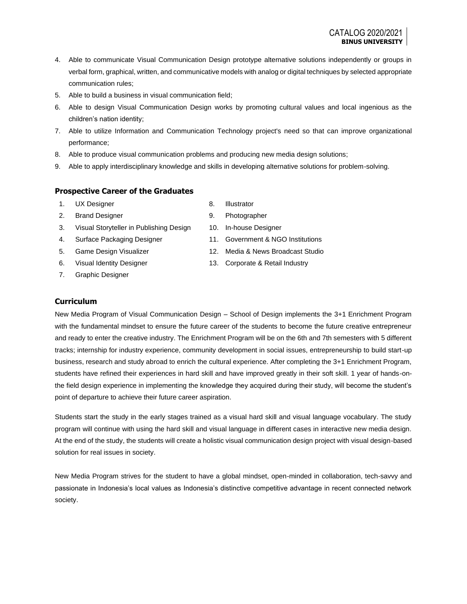- 4. Able to communicate Visual Communication Design prototype alternative solutions independently or groups in verbal form, graphical, written, and communicative models with analog or digital techniques by selected appropriate communication rules;
- 5. Able to build a business in visual communication field;
- 6. Able to design Visual Communication Design works by promoting cultural values and local ingenious as the children's nation identity;
- 7. Able to utilize Information and Communication Technology project's need so that can improve organizational performance;
- 8. Able to produce visual communication problems and producing new media design solutions;
- 9. Able to apply interdisciplinary knowledge and skills in developing alternative solutions for problem-solving.

### **Prospective Career of the Graduates**

- 1. UX Designer
- 2. Brand Designer
- 3. Visual Storyteller in Publishing Design
- 4. Surface Packaging Designer
- 5. Game Design Visualizer
- 6. Visual Identity Designer
- 7. Graphic Designer
- 8. Illustrator
- 9. Photographer
- 10. In-house Designer
- 11. Government & NGO Institutions
- 12. Media & News Broadcast Studio
- 13. Corporate & Retail Industry

### **Curriculum**

New Media Program of Visual Communication Design – School of Design implements the 3+1 Enrichment Program with the fundamental mindset to ensure the future career of the students to become the future creative entrepreneur and ready to enter the creative industry. The Enrichment Program will be on the 6th and 7th semesters with 5 different tracks; internship for industry experience, community development in social issues, entrepreneurship to build start-up business, research and study abroad to enrich the cultural experience. After completing the 3+1 Enrichment Program, students have refined their experiences in hard skill and have improved greatly in their soft skill. 1 year of hands-onthe field design experience in implementing the knowledge they acquired during their study, will become the student's point of departure to achieve their future career aspiration.

Students start the study in the early stages trained as a visual hard skill and visual language vocabulary. The study program will continue with using the hard skill and visual language in different cases in interactive new media design. At the end of the study, the students will create a holistic visual communication design project with visual design-based solution for real issues in society.

New Media Program strives for the student to have a global mindset, open-minded in collaboration, tech-savvy and passionate in Indonesia's local values as Indonesia's distinctive competitive advantage in recent connected network society.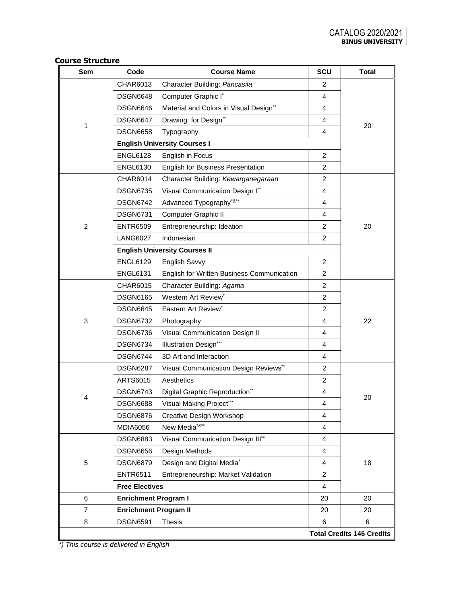|  | <b>Course Structure</b> |
|--|-------------------------|
|--|-------------------------|

| Sem            | Code                         | <b>Course Name</b>                                | <b>SCU</b>     | <b>Total</b>                     |
|----------------|------------------------------|---------------------------------------------------|----------------|----------------------------------|
|                | CHAR6013                     | Character Building: Pancasila                     | 2              |                                  |
|                | <b>DSGN6648</b>              | Computer Graphic I*                               | 4              |                                  |
|                | <b>DSGN6646</b>              | Material and Colors in Visual Design**            | 4              |                                  |
|                | <b>DSGN6647</b>              | Drawing for Design**                              | 4              |                                  |
| 1              | <b>DSGN6658</b>              | Typography                                        | $\overline{4}$ | 20                               |
|                |                              | <b>English University Courses I</b>               |                |                                  |
|                | <b>ENGL6128</b>              | English in Focus                                  | $\overline{2}$ |                                  |
|                | <b>ENGL6130</b>              | <b>English for Business Presentation</b>          | $\overline{c}$ |                                  |
|                | <b>CHAR6014</b>              | Character Building: Kewarganegaraan               | $\overline{2}$ |                                  |
|                | <b>DSGN6735</b>              | Visual Communication Design I**                   | $\overline{4}$ |                                  |
|                | <b>DSGN6742</b>              | Advanced Typography <sup>*&amp;**</sup>           | 4              |                                  |
|                | <b>DSGN6731</b>              | Computer Graphic II                               | 4              |                                  |
| $\overline{2}$ | <b>ENTR6509</b>              | Entrepreneurship: Ideation                        | $\overline{c}$ | 20                               |
|                | <b>LANG6027</b>              | Indonesian                                        | 2              |                                  |
|                |                              | <b>English University Courses II</b>              |                |                                  |
|                | <b>ENGL6129</b>              | <b>English Savvy</b>                              | $\overline{2}$ |                                  |
|                | <b>ENGL6131</b>              | <b>English for Written Business Communication</b> | $\overline{2}$ |                                  |
|                | CHAR6015                     | Character Building: Agama                         | $\overline{c}$ |                                  |
|                | <b>DSGN6165</b>              | Western Art Review*                               | 2              |                                  |
|                | <b>DSGN6645</b>              | Eastern Art Review*                               | $\overline{c}$ |                                  |
| 3              | <b>DSGN6732</b>              | Photography                                       | 4              | 22                               |
|                | <b>DSGN6736</b>              | Visual Communication Design II                    | $\overline{4}$ |                                  |
|                | <b>DSGN6734</b>              | <b>Illustration Design***</b>                     | 4              |                                  |
|                | <b>DSGN6744</b>              | 3D Art and Interaction                            | 4              |                                  |
|                | <b>DSGN6287</b>              | Visual Communication Design Reviews**             | 2              |                                  |
|                | ARTS6015                     | Aesthetics                                        | $\overline{2}$ |                                  |
|                | <b>DSGN6743</b>              | Digital Graphic Reproduction**                    | 4              |                                  |
| 4              | <b>DSGN6688</b>              | Visual Making Project***                          | 4              | 20                               |
|                | <b>DSGN6876</b>              | Creative Design Workshop                          | 4              |                                  |
|                | <b>MDIA6056</b>              | New Media <sup>*&amp;**</sup>                     | 4              |                                  |
|                | <b>DSGN6883</b>              | Visual Communication Design III**                 | 4              |                                  |
|                | <b>DSGN6656</b>              | Design Methods                                    | 4              |                                  |
| 5              | <b>DSGN6879</b>              | Design and Digital Media*                         | 4              | 18                               |
|                | <b>ENTR6511</b>              | Entrepreneurship: Market Validation               | $\overline{2}$ |                                  |
|                | <b>Free Electives</b>        |                                                   | 4              |                                  |
| 6              | <b>Enrichment Program I</b>  |                                                   | 20             | 20                               |
| $\overline{7}$ | <b>Enrichment Program II</b> |                                                   | 20             | 20                               |
| 8              | <b>DSGN6591</b>              | <b>Thesis</b>                                     | 6              | 6                                |
|                |                              |                                                   |                | <b>Total Credits 146 Credits</b> |

*\*) This course is delivered in English*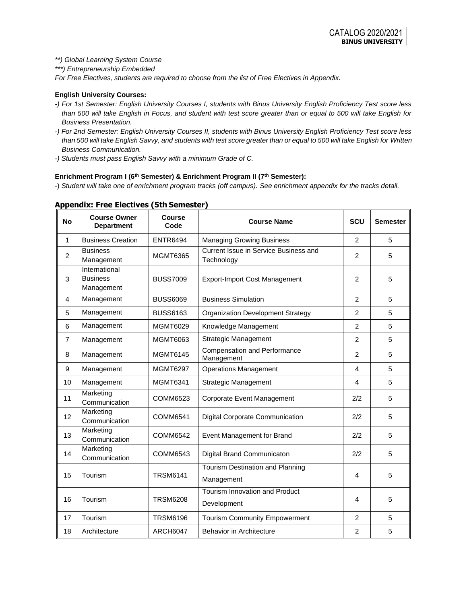*\*\*) Global Learning System Course*

*\*\*\*) Entrepreneurship Embedded*

*For Free Electives, students are required to choose from the list of Free Electives in Appendix.*

#### **English University Courses:**

- *-) For 1st Semester: English University Courses I, students with Binus University English Proficiency Test score less than 500 will take English in Focus, and student with test score greater than or equal to 500 will take English for Business Presentation.*
- *-) For 2nd Semester: English University Courses II, students with Binus University English Proficiency Test score less than 500 will take English Savvy, and students with test score greater than or equal to 500 will take English for Written Business Communication.*
- *-) Students must pass English Savvy with a minimum Grade of C.*

#### **Enrichment Program I (6th Semester) & Enrichment Program II (7th Semester):**

-) *Student will take one of enrichment program tracks (off campus). See enrichment appendix for the tracks detail.*

| <b>No</b>      | <b>Course Owner</b><br><b>Department</b>       | <b>Course</b><br>Code | <b>Course Name</b>                                  | SCU            | <b>Semester</b> |
|----------------|------------------------------------------------|-----------------------|-----------------------------------------------------|----------------|-----------------|
| 1              | <b>Business Creation</b>                       | <b>ENTR6494</b>       | <b>Managing Growing Business</b>                    | $\overline{2}$ | 5               |
| $\overline{2}$ | <b>Business</b><br>Management                  | <b>MGMT6365</b>       | Current Issue in Service Business and<br>Technology | $\overline{c}$ | 5               |
| 3              | International<br><b>Business</b><br>Management | <b>BUSS7009</b>       | <b>Export-Import Cost Management</b>                | $\overline{c}$ | 5               |
| 4              | Management                                     | <b>BUSS6069</b>       | <b>Business Simulation</b>                          | $\overline{2}$ | 5               |
| 5              | Management                                     | <b>BUSS6163</b>       | <b>Organization Development Strategy</b>            | $\overline{c}$ | 5               |
| 6              | Management                                     | <b>MGMT6029</b>       | Knowledge Management                                | $\overline{2}$ | 5               |
| $\overline{7}$ | Management                                     | MGMT6063              | <b>Strategic Management</b>                         | $\overline{2}$ | 5               |
| 8              | Management                                     | <b>MGMT6145</b>       | <b>Compensation and Performance</b><br>Management   | $\overline{2}$ | 5               |
| 9              | Management                                     | <b>MGMT6297</b>       | <b>Operations Management</b>                        | $\overline{4}$ | 5               |
| 10             | Management                                     | MGMT6341              | Strategic Management                                | 4              | 5               |
| 11             | Marketing<br>Communication                     | COMM6523              | Corporate Event Management                          | 2/2            | 5               |
| 12             | Marketing<br>Communication                     | COMM6541              | Digital Corporate Communication                     | 2/2            | 5               |
| 13             | Marketing<br>Communication                     | <b>COMM6542</b>       | Event Management for Brand                          | 2/2            | 5               |
| 14             | Marketing<br>Communication                     | COMM6543              | Digital Brand Communicaton                          | 2/2            | 5               |
| 15             | Tourism                                        | <b>TRSM6141</b>       | Tourism Destination and Planning<br>Management      | 4              | 5               |
| 16             | Tourism                                        | <b>TRSM6208</b>       | Tourism Innovation and Product<br>Development       | $\overline{4}$ | 5               |
| 17             | Tourism                                        | <b>TRSM6196</b>       | <b>Tourism Community Empowerment</b>                | $\overline{2}$ | 5               |
| 18             | Architecture                                   | <b>ARCH6047</b>       | <b>Behavior in Architecture</b>                     | $\overline{2}$ | 5               |

#### **Appendix: Free Electives (5th Semester)**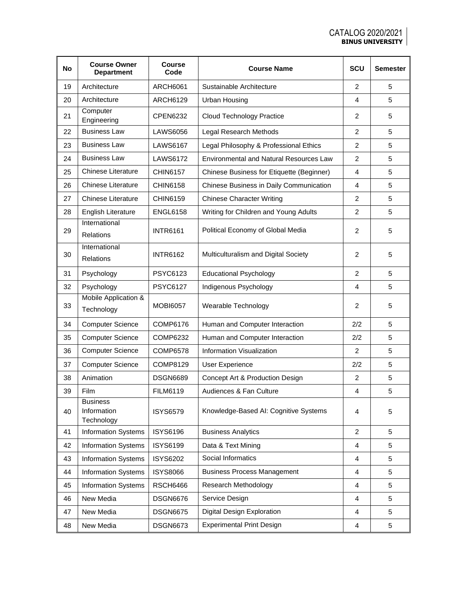| <b>No</b> | <b>Course Owner</b><br><b>Department</b>     | <b>Course</b><br>Code | <b>Course Name</b>                             | SCU            | <b>Semester</b> |
|-----------|----------------------------------------------|-----------------------|------------------------------------------------|----------------|-----------------|
| 19        | Architecture                                 | ARCH6061              | Sustainable Architecture                       | 2              | 5               |
| 20        | Architecture                                 | <b>ARCH6129</b>       | <b>Urban Housing</b>                           | 4              | 5               |
| 21        | Computer<br>Engineering                      | CPEN6232              | <b>Cloud Technology Practice</b>               | $\overline{2}$ | 5               |
| 22        | <b>Business Law</b>                          | <b>LAWS6056</b>       | Legal Research Methods                         | $\overline{2}$ | 5               |
| 23        | <b>Business Law</b>                          | <b>LAWS6167</b>       | Legal Philosophy & Professional Ethics         | $\overline{2}$ | 5               |
| 24        | <b>Business Law</b>                          | <b>LAWS6172</b>       | <b>Environmental and Natural Resources Law</b> | $\overline{2}$ | 5               |
| 25        | <b>Chinese Literature</b>                    | <b>CHIN6157</b>       | Chinese Business for Etiquette (Beginner)      | 4              | 5               |
| 26        | <b>Chinese Literature</b>                    | <b>CHIN6158</b>       | Chinese Business in Daily Communication        | 4              | 5               |
| 27        | <b>Chinese Literature</b>                    | CHIN6159              | <b>Chinese Character Writing</b>               | $\overline{2}$ | 5               |
| 28        | <b>English Literature</b>                    | <b>ENGL6158</b>       | Writing for Children and Young Adults          | $\overline{2}$ | 5               |
| 29        | International<br><b>Relations</b>            | <b>INTR6161</b>       | Political Economy of Global Media              | 2              | 5               |
| 30        | International<br><b>Relations</b>            | <b>INTR6162</b>       | Multiculturalism and Digital Society           | 2              | 5               |
| 31        | Psychology                                   | <b>PSYC6123</b>       | <b>Educational Psychology</b>                  | $\overline{2}$ | 5               |
| 32        | Psychology                                   | <b>PSYC6127</b>       | Indigenous Psychology                          | 4              | 5               |
| 33        | Mobile Application &<br>Technology           | <b>MOBI6057</b>       | Wearable Technology                            | 2              | 5               |
| 34        | <b>Computer Science</b>                      | <b>COMP6176</b>       | Human and Computer Interaction                 | 2/2            | 5               |
| 35        | <b>Computer Science</b>                      | <b>COMP6232</b>       | Human and Computer Interaction                 | 2/2            | 5               |
| 36        | <b>Computer Science</b>                      | <b>COMP6578</b>       | Information Visualization                      | 2              | 5               |
| 37        | <b>Computer Science</b>                      | COMP8129              | <b>User Experience</b>                         | 2/2            | 5               |
| 38        | Animation                                    | <b>DSGN6689</b>       | Concept Art & Production Design                | 2              | 5               |
| 39        | Film                                         | <b>FILM6119</b>       | Audiences & Fan Culture                        | 4              | 5               |
| 40        | <b>Business</b><br>Information<br>Technology | <b>ISYS6579</b>       | Knowledge-Based AI: Cognitive Systems          | 4              | 5               |
| 41        | <b>Information Systems</b>                   | <b>ISYS6196</b>       | <b>Business Analytics</b>                      | 2              | 5               |
| 42        | <b>Information Systems</b>                   | <b>ISYS6199</b>       | Data & Text Mining                             | 4              | 5               |
| 43        | <b>Information Systems</b>                   | <b>ISYS6202</b>       | Social Informatics                             | 4              | 5               |
| 44        | <b>Information Systems</b>                   | <b>ISYS8066</b>       | <b>Business Process Management</b>             | 4              | 5               |
| 45        | <b>Information Systems</b>                   | <b>RSCH6466</b>       | Research Methodology                           | 4              | 5               |
| 46        | New Media                                    | <b>DSGN6676</b>       | Service Design                                 | 4              | 5               |
| 47        | New Media                                    | <b>DSGN6675</b>       | Digital Design Exploration                     | 4              | 5               |
| 48        | New Media                                    | <b>DSGN6673</b>       | <b>Experimental Print Design</b>               | 4              | 5               |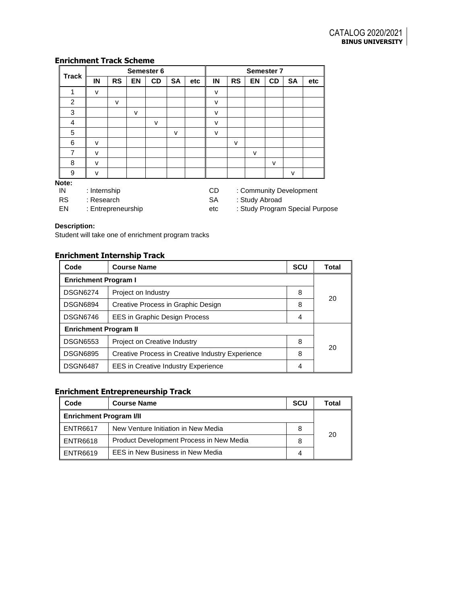## **Enrichment Track Scheme**

|                |    | Semester 6                                    |           | <b>Semester 7</b> |           |     |    |           |           |    |           |     |
|----------------|----|-----------------------------------------------|-----------|-------------------|-----------|-----|----|-----------|-----------|----|-----------|-----|
| <b>Track</b>   | IN | <b>RS</b>                                     | <b>EN</b> | <b>CD</b>         | <b>SA</b> | etc | IN | <b>RS</b> | <b>EN</b> | CD | <b>SA</b> | etc |
|                | v  |                                               |           |                   |           |     | v  |           |           |    |           |     |
| $\overline{2}$ |    | $\mathsf{v}$                                  |           |                   |           |     | v  |           |           |    |           |     |
| 3              |    |                                               | $\vee$    |                   |           |     | v  |           |           |    |           |     |
| 4              |    |                                               |           | v                 |           |     | v  |           |           |    |           |     |
| 5              |    |                                               |           |                   | v         |     | v  |           |           |    |           |     |
| 6              | v  |                                               |           |                   |           |     |    | v         |           |    |           |     |
| $\overline{7}$ | v  |                                               |           |                   |           |     |    |           | v         |    |           |     |
| 8              | v  |                                               |           |                   |           |     |    |           |           | v  |           |     |
| 9              | v  |                                               |           |                   |           |     |    |           |           |    | v         |     |
| Note:          |    |                                               |           |                   |           |     |    |           |           |    |           |     |
| IN             |    | : Internship<br>: Community Development<br>CD |           |                   |           |     |    |           |           |    |           |     |
| <sub>D</sub> o |    | $\sim$ $\sim$<br>0.04<br>. Dessexek           |           |                   |           |     |    |           |           |    |           |     |

RS : Research EN : Entrepreneurship SA : Study Abroad

etc : Study Program Special Purpose

#### **Description:**

Student will take one of enrichment program tracks

## **Enrichment Internship Track**

| Code                         | <b>Course Name</b>                               | <b>SCU</b> | Total |  |  |
|------------------------------|--------------------------------------------------|------------|-------|--|--|
| <b>Enrichment Program I</b>  |                                                  |            |       |  |  |
| <b>DSGN6274</b>              | Project on Industry                              | 8          | 20    |  |  |
| <b>DSGN6894</b>              | Creative Process in Graphic Design               | 8          |       |  |  |
| <b>DSGN6746</b>              | <b>EES in Graphic Design Process</b>             | 4          |       |  |  |
| <b>Enrichment Program II</b> |                                                  |            |       |  |  |
| <b>DSGN6553</b>              | Project on Creative Industry                     | 8          | 20    |  |  |
| <b>DSGN6895</b>              | Creative Process in Creative Industry Experience | 8          |       |  |  |
| <b>DSGN6487</b>              | <b>EES</b> in Creative Industry Experience       | 4          |       |  |  |

# **Enrichment Entrepreneurship Track**

| Code                           | <b>SCU</b><br><b>Course Name</b>         |   |    |  |  |
|--------------------------------|------------------------------------------|---|----|--|--|
| <b>Enrichment Program I/II</b> |                                          |   |    |  |  |
| <b>ENTR6617</b>                | New Venture Initiation in New Media      | 8 | 20 |  |  |
| <b>ENTR6618</b>                | Product Development Process in New Media | 8 |    |  |  |
| <b>ENTR6619</b>                | EES in New Business in New Media         | 4 |    |  |  |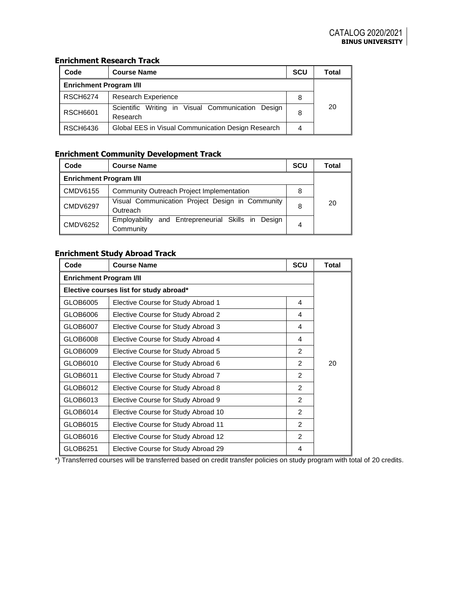### **Enrichment Research Track**

| EIII ICHHEIIL RESEALCH-HACR    |                                                                  |              |    |  |  |  |  |
|--------------------------------|------------------------------------------------------------------|--------------|----|--|--|--|--|
| Code                           | <b>Course Name</b>                                               | <b>Total</b> |    |  |  |  |  |
| <b>Enrichment Program I/II</b> |                                                                  |              |    |  |  |  |  |
| <b>RSCH6274</b>                | <b>Research Experience</b>                                       |              |    |  |  |  |  |
| <b>RSCH6601</b>                | Scientific Writing in Visual Communication<br>Desian<br>Research | 8            | 20 |  |  |  |  |
| <b>RSCH6436</b>                | Global EES in Visual Communication Design Research               |              |    |  |  |  |  |

# **Enrichment Community Development Track**

| Code                    | <b>Course Name</b>                                                 | <b>SCU</b> | Total |  |  |
|-------------------------|--------------------------------------------------------------------|------------|-------|--|--|
| Enrichment Program I/II |                                                                    |            |       |  |  |
| $\blacksquare$ CMDV6155 | Community Outreach Project Implementation                          | 8          |       |  |  |
| $\blacksquare$ CMDV6297 | Visual Communication Project Design in Community<br>Outreach       | 8          | 20    |  |  |
| $\blacksquare$ CMDV6252 | Employability<br>and Entrepreneurial Skills in Design<br>Community | 4          |       |  |  |

## **Enrichment Study Abroad Track**

| Code                           | <b>Course Name</b>                      | <b>SCU</b>    | <b>Total</b> |  |  |
|--------------------------------|-----------------------------------------|---------------|--------------|--|--|
| <b>Enrichment Program I/II</b> |                                         |               |              |  |  |
|                                | Elective courses list for study abroad* |               |              |  |  |
| GLOB6005                       | Elective Course for Study Abroad 1      | 4             |              |  |  |
| GLOB6006                       | Elective Course for Study Abroad 2      | 4             |              |  |  |
| GLOB6007                       | Elective Course for Study Abroad 3      | 4             |              |  |  |
| GLOB6008                       | Elective Course for Study Abroad 4      | 4             |              |  |  |
| GLOB6009                       | Elective Course for Study Abroad 5      | 2             |              |  |  |
| GLOB6010                       | Elective Course for Study Abroad 6      | 2             | 20           |  |  |
| GLOB6011                       | Elective Course for Study Abroad 7      | 2             |              |  |  |
| GLOB6012                       | Elective Course for Study Abroad 8      | $\mathcal{P}$ |              |  |  |
| GLOB6013                       | Elective Course for Study Abroad 9      | 2             |              |  |  |
| GLOB6014                       | Elective Course for Study Abroad 10     | 2             |              |  |  |
| GLOB6015                       | Elective Course for Study Abroad 11     | $\mathcal{P}$ |              |  |  |
| GLOB6016                       | Elective Course for Study Abroad 12     | 2             |              |  |  |
| GLOB6251                       | Elective Course for Study Abroad 29     | 4             |              |  |  |

\*) Transferred courses will be transferred based on credit transfer policies on study program with total of 20 credits.